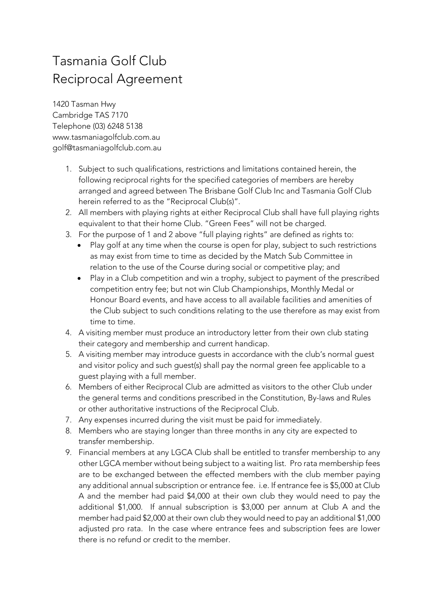## Tasmania Golf Club Reciprocal Agreement

1420 Tasman Hwy Cambridge TAS 7170 Telephone (03) 6248 5138 www.tasmaniagolfclub.com.au golf@tasmaniagolfclub.com.au

- 1. Subject to such qualifications, restrictions and limitations contained herein, the following reciprocal rights for the specified categories of members are hereby arranged and agreed between The Brisbane Golf Club Inc and Tasmania Golf Club herein referred to as the "Reciprocal Club(s)".
- 2. All members with playing rights at either Reciprocal Club shall have full playing rights equivalent to that their home Club. "Green Fees" will not be charged.
- 3. For the purpose of 1 and 2 above "full playing rights" are defined as rights to:
	- Play golf at any time when the course is open for play, subject to such restrictions as may exist from time to time as decided by the Match Sub Committee in relation to the use of the Course during social or competitive play; and
	- Play in a Club competition and win a trophy, subject to payment of the prescribed competition entry fee; but not win Club Championships, Monthly Medal or Honour Board events, and have access to all available facilities and amenities of the Club subject to such conditions relating to the use therefore as may exist from time to time.
- 4. A visiting member must produce an introductory letter from their own club stating their category and membership and current handicap.
- 5. A visiting member may introduce guests in accordance with the club's normal guest and visitor policy and such guest(s) shall pay the normal green fee applicable to a guest playing with a full member.
- 6. Members of either Reciprocal Club are admitted as visitors to the other Club under the general terms and conditions prescribed in the Constitution, By-laws and Rules or other authoritative instructions of the Reciprocal Club.
- 7. Any expenses incurred during the visit must be paid for immediately.
- 8. Members who are staying longer than three months in any city are expected to transfer membership.
- 9. Financial members at any LGCA Club shall be entitled to transfer membership to any other LGCA member without being subject to a waiting list. Pro rata membership fees are to be exchanged between the effected members with the club member paying any additional annual subscription or entrance fee. i.e. If entrance fee is \$5,000 at Club A and the member had paid \$4,000 at their own club they would need to pay the additional \$1,000. If annual subscription is \$3,000 per annum at Club A and the member had paid \$2,000 at their own club they would need to pay an additional \$1,000 adjusted pro rata. In the case where entrance fees and subscription fees are lower there is no refund or credit to the member.